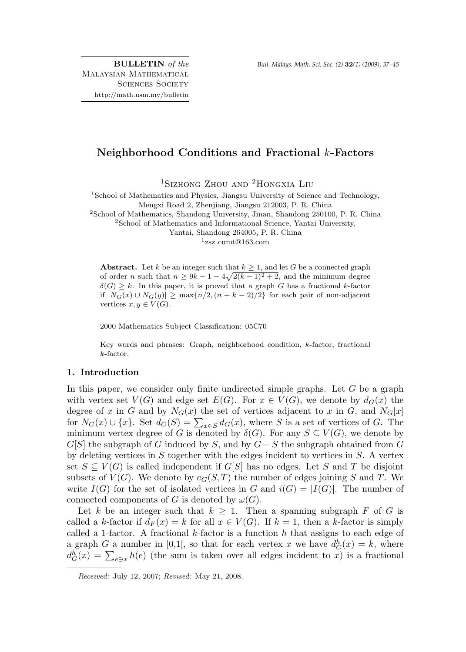BULLETIN of the Malaysian Mathematical SCIENCES SOCIETY http://math.usm.my/bulletin

# Neighborhood Conditions and Fractional k-Factors

<sup>1</sup>Sizhong Zhou and <sup>2</sup>Hongxia Liu

 $1$ School of Mathematics and Physics, Jiangsu University of Science and Technology, Mengxi Road 2, Zhenjiang, Jiangsu 212003, P. R. China <sup>2</sup>School of Mathematics, Shandong University, Jinan, Shandong 250100, P. R. China <sup>2</sup>School of Mathematics and Informational Science, Yantai University, Yantai, Shandong 264005, P. R. China

 $1_{\text{ZSZ\_cum}}$ @163.com

Abstract. Let k be an integer such that  $k \geq 1$ , and let G be a connected graph of order n such that  $n \geq 9k - 1 - 4\sqrt{2(k-1)^2 + 2}$ , and the minimum degree  $\delta(G) \geq k$ . In this paper, it is proved that a graph G has a fractional k-factor if  $|N_G(x) \cup N_G(y)|$  ≥ max ${n/2, (n + k - 2)/2}$  for each pair of non-adjacent vertices  $x, y \in V(G)$ .

2000 Mathematics Subject Classification: 05C70

Key words and phrases: Graph, neighborhood condition, k-factor, fractional k-factor.

# 1. Introduction

In this paper, we consider only finite undirected simple graphs. Let  $G$  be a graph with vertex set  $V(G)$  and edge set  $E(G)$ . For  $x \in V(G)$ , we denote by  $d_G(x)$  the degree of x in G and by  $N_G(x)$  the set of vertices adjacent to x in G, and  $N_G[x]$ for  $N_G(x) \cup \{x\}$ . Set  $d_G(S) = \sum_{x \in S} d_G(x)$ , where S is a set of vertices of G. The minimum vertex degree of G is denoted by  $\delta(G)$ . For any  $S \subseteq V(G)$ , we denote by  $G[S]$  the subgraph of G induced by S, and by  $G-S$  the subgraph obtained from G by deleting vertices in  $S$  together with the edges incident to vertices in  $S$ . A vertex set  $S \subseteq V(G)$  is called independent if  $G[S]$  has no edges. Let S and T be disjoint subsets of  $V(G)$ . We denote by  $e_G(S,T)$  the number of edges joining S and T. We write  $I(G)$  for the set of isolated vertices in G and  $i(G) = |I(G)|$ . The number of connected components of G is denoted by  $\omega(G)$ .

Let k be an integer such that  $k \geq 1$ . Then a spanning subgraph F of G is called a k-factor if  $d_F(x) = k$  for all  $x \in V(G)$ . If  $k = 1$ , then a k-factor is simply called a 1-factor. A fractional  $k$ -factor is a function  $h$  that assigns to each edge of a graph G a number in [0,1], so that for each vertex x we have  $d_G^h(x) = k$ , where  $d_G^h(x) = \sum_{e \ni x} h(e)$  (the sum is taken over all edges incident to x) is a fractional

Received: July 12, 2007; Revised: May 21, 2008.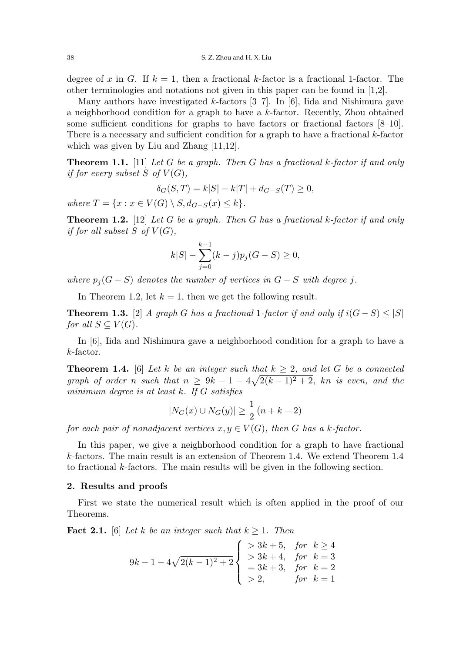degree of x in G. If  $k = 1$ , then a fractional k-factor is a fractional 1-factor. The other terminologies and notations not given in this paper can be found in [1,2].

Many authors have investigated  $k$ -factors [3–7]. In [6], Iida and Nishimura gave a neighborhood condition for a graph to have a k-factor. Recently, Zhou obtained some sufficient conditions for graphs to have factors or fractional factors [8–10]. There is a necessary and sufficient condition for a graph to have a fractional  $k$ -factor which was given by Liu and Zhang [11,12].

**Theorem 1.1.** [11] Let G be a graph. Then G has a fractional k-factor if and only if for every subset  $S$  of  $V(G)$ ,

$$
\delta_G(S, T) = k|S| - k|T| + d_{G-S}(T) \ge 0,
$$

where  $T = \{x : x \in V(G) \setminus S, d_{G-S}(x) \leq k\}.$ 

**Theorem 1.2.** [12] Let G be a graph. Then G has a fractional k-factor if and only if for all subset S of  $V(G)$ ,

$$
k|S| - \sum_{j=0}^{k-1} (k-j)p_j(G-S) \ge 0,
$$

where  $p_i(G - S)$  denotes the number of vertices in  $G - S$  with degree j.

In Theorem 1.2, let  $k = 1$ , then we get the following result.

**Theorem 1.3.** [2] A graph G has a fractional 1-factor if and only if  $i(G - S) \leq |S|$ for all  $S \subset V(G)$ .

In [6], Iida and Nishimura gave a neighborhood condition for a graph to have a k-factor.

**Theorem 1.4.** [6] Let k be an integer such that  $k \geq 2$ , and let G be a connected graph of order n such that  $n \geq 9k - 1 - 4\sqrt{2(k-1)^2 + 2}$ , kn is even, and the minimum degree is at least  $k$ . If  $G$  satisfies

$$
|N_G(x) \cup N_G(y)| \ge \frac{1}{2} (n + k - 2)
$$

for each pair of nonadjacent vertices  $x, y \in V(G)$ , then G has a k-factor.

In this paper, we give a neighborhood condition for a graph to have fractional k-factors. The main result is an extension of Theorem 1.4. We extend Theorem 1.4 to fractional k-factors. The main results will be given in the following section.

## 2. Results and proofs

First we state the numerical result which is often applied in the proof of our Theorems.

**Fact 2.1.** [6] Let k be an integer such that  $k \geq 1$ . Then

$$
9k - 1 - 4\sqrt{2(k-1)^2 + 2} \begin{cases} > 3k + 5, \quad \text{for} \quad k \ge 4 \\ > 3k + 4, \quad \text{for} \quad k = 3 \\ & = 3k + 3, \quad \text{for} \quad k = 2 \\ > 2, \quad \text{for} \quad k = 1 \end{cases}
$$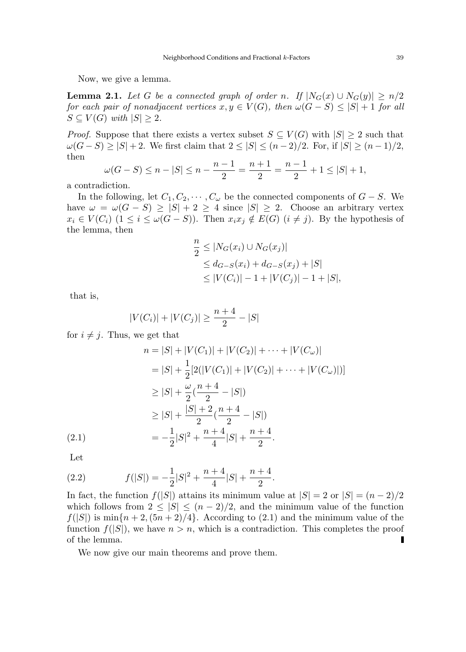Now, we give a lemma.

**Lemma 2.1.** Let G be a connected graph of order n. If  $|N_G(x) \cup N_G(y)| \ge n/2$ for each pair of nonadjacent vertices  $x, y \in V(G)$ , then  $\omega(G-S) \leq |S|+1$  for all  $S \subset V(G)$  with  $|S| > 2$ .

*Proof.* Suppose that there exists a vertex subset  $S \subseteq V(G)$  with  $|S| \geq 2$  such that  $\omega(G-S) \ge |S| + 2$ . We first claim that  $2 \le |S| \le (n-2)/2$ . For, if  $|S| \ge (n-1)/2$ , then

$$
\omega(G-S) \le n - |S| \le n - \frac{n-1}{2} = \frac{n+1}{2} = \frac{n-1}{2} + 1 \le |S| + 1,
$$

a contradiction.

In the following, let  $C_1, C_2, \cdots, C_{\omega}$  be the connected components of  $G - S$ . We have  $\omega = \omega(G - S) \geq |S| + 2 \geq 4$  since  $|S| \geq 2$ . Choose an arbitrary vertex  $x_i \in V(C_i)$   $(1 \leq i \leq \omega(G-S))$ . Then  $x_i x_j \notin E(G)$   $(i \neq j)$ . By the hypothesis of the lemma, then

$$
\frac{n}{2} \le |N_G(x_i) \cup N_G(x_j)|
$$
  
\n
$$
\le d_{G-S}(x_i) + d_{G-S}(x_j) + |S|
$$
  
\n
$$
\le |V(C_i)| - 1 + |V(C_j)| - 1 + |S|,
$$

that is,

$$
|V(C_i)| + |V(C_j)| \ge \frac{n+4}{2} - |S|
$$

for  $i \neq j$ . Thus, we get that

$$
n = |S| + |V(C_1)| + |V(C_2)| + \dots + |V(C_{\omega})|
$$
  
\n
$$
= |S| + \frac{1}{2} [2(|V(C_1)| + |V(C_2)| + \dots + |V(C_{\omega})|)]
$$
  
\n
$$
\geq |S| + \frac{\omega}{2} (\frac{n+4}{2} - |S|)
$$
  
\n
$$
\geq |S| + \frac{|S| + 2}{2} (\frac{n+4}{2} - |S|)
$$
  
\n
$$
= -\frac{1}{2} |S|^2 + \frac{n+4}{4} |S| + \frac{n+4}{2}.
$$

Let

(2.2) 
$$
f(|S|) = -\frac{1}{2}|S|^2 + \frac{n+4}{4}|S| + \frac{n+4}{2}.
$$

In fact, the function  $f(|S|)$  attains its minimum value at  $|S| = 2$  or  $|S| = (n-2)/2$ which follows from  $2 \leq |S| \leq (n-2)/2$ , and the minimum value of the function  $f(|S|)$  is  $\min\{n+2,(5n+2)/4\}$ . According to (2.1) and the minimum value of the function  $f(|S|)$ , we have  $n > n$ , which is a contradiction. This completes the proof of the lemma.  $\blacksquare$ 

We now give our main theorems and prove them.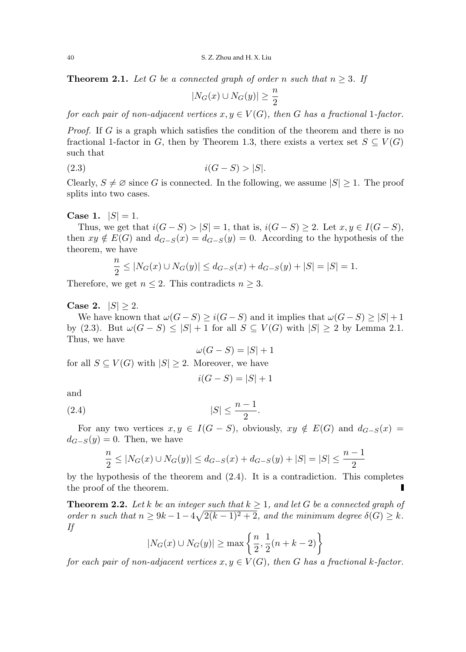**Theorem 2.1.** Let G be a connected graph of order n such that  $n \geq 3$ . If

$$
|N_G(x) \cup N_G(y)| \ge \frac{n}{2}
$$

for each pair of non-adjacent vertices  $x, y \in V(G)$ , then G has a fractional 1-factor.

*Proof.* If G is a graph which satisfies the condition of the theorem and there is no fractional 1-factor in G, then by Theorem 1.3, there exists a vertex set  $S \subseteq V(G)$ such that

$$
(2.3) \t\t i(G-S) > |S|.
$$

Clearly,  $S \neq \emptyset$  since G is connected. In the following, we assume  $|S| \geq 1$ . The proof splits into two cases.

**Case 1.**  $|S| = 1$ .

Thus, we get that  $i(G-S) > |S| = 1$ , that is,  $i(G-S) > 2$ . Let  $x, y \in I(G-S)$ , then  $xy \notin E(G)$  and  $d_{G-S}(x) = d_{G-S}(y) = 0$ . According to the hypothesis of the theorem, we have

$$
\frac{n}{2} \le |N_G(x) \cup N_G(y)| \le d_{G-S}(x) + d_{G-S}(y) + |S| = |S| = 1.
$$

Therefore, we get  $n \leq 2$ . This contradicts  $n \geq 3$ .

**Case 2.**  $|S| > 2$ .

We have known that  $\omega(G-S) \geq i(G-S)$  and it implies that  $\omega(G-S) \geq |S|+1$ by (2.3). But  $\omega(G-S) \leq |S|+1$  for all  $S \subseteq V(G)$  with  $|S| \geq 2$  by Lemma 2.1. Thus, we have

$$
\omega(G-S) = |S| + 1
$$

for all  $S \subseteq V(G)$  with  $|S| \geq 2$ . Moreover, we have

$$
i(G - S) = |S| + 1
$$

and

$$
(2.4) \t\t |S| \le \frac{n-1}{2}.
$$

For any two vertices  $x, y \in I(G - S)$ , obviously,  $xy \notin E(G)$  and  $d_{G-S}(x) =$  $d_{G-S}(y) = 0$ . Then, we have

$$
\frac{n}{2} \leq |N_G(x)\cup N_G(y)| \leq d_{G-S}(x)+d_{G-S}(y)+|S|=|S| \leq \frac{n-1}{2}
$$

by the hypothesis of the theorem and  $(2.4)$ . It is a contradiction. This completes the proof of the theorem. Г

**Theorem 2.2.** Let k be an integer such that  $k \geq 1$ , and let G be a connected graph of order n such that  $n \geq 9k - 1 - 4\sqrt{2(k-1)^2 + 2}$ , and the minimum degree  $\delta(G) \geq k$ . If

$$
|N_G(x) \cup N_G(y)| \ge \max\left\{\frac{n}{2}, \frac{1}{2}(n+k-2)\right\}
$$

for each pair of non-adjacent vertices  $x, y \in V(G)$ , then G has a fractional k-factor.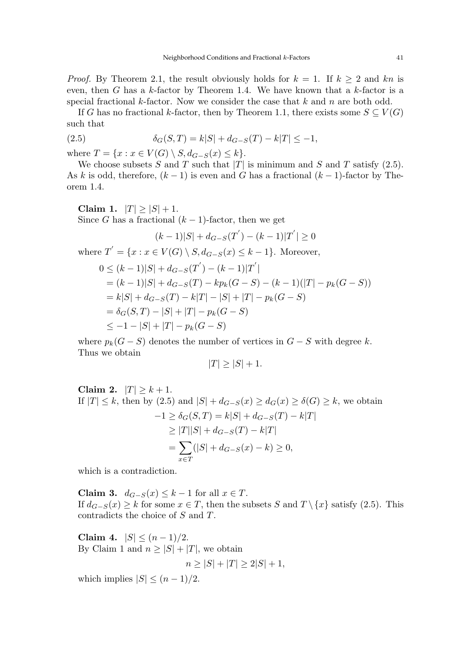*Proof.* By Theorem 2.1, the result obviously holds for  $k = 1$ . If  $k \geq 2$  and kn is even, then G has a  $k$ -factor by Theorem 1.4. We have known that a  $k$ -factor is a special fractional k-factor. Now we consider the case that  $k$  and  $n$  are both odd.

If G has no fractional k-factor, then by Theorem 1.1, there exists some  $S \subseteq V(G)$ such that

(2.5) 
$$
\delta_G(S,T) = k|S| + d_{G-S}(T) - k|T| \le -1,
$$

where  $T = \{x : x \in V(G) \setminus S, d_{G-S}(x) \leq k\}.$ 

We choose subsets S and T such that  $|T|$  is minimum and S and T satisfy (2.5). As k is odd, therefore,  $(k-1)$  is even and G has a fractional  $(k-1)$ -factor by Theorem 1.4.

Claim 1.  $|T| \ge |S| + 1$ . Since G has a fractional  $(k-1)$ -factor, then we get  $(k-1)|S| + d_{G-S}(T^{'}) - (k-1)|T^{'}| \geq 0$ where  $T' = \{x : x \in V(G) \setminus S, d_{G-S}(x) \leq k-1\}$ . Moreover,

$$
0 \le (k-1)|S| + d_{G-S}(T') - (k-1)|T'|
$$
  
=  $(k-1)|S| + d_{G-S}(T) - kp_k(G-S) - (k-1)(|T| - p_k(G-S))$   
=  $k|S| + d_{G-S}(T) - k|T| - |S| + |T| - p_k(G-S)$   
=  $\delta_G(S,T) - |S| + |T| - p_k(G-S)$   
 $\le -1 - |S| + |T| - p_k(G-S)$ 

where  $p_k(G - S)$  denotes the number of vertices in  $G - S$  with degree k. Thus we obtain

$$
|T| \ge |S| + 1.
$$

Claim 2.  $|T| > k+1$ . If  $|T| \leq k$ , then by  $(2.5)$  and  $|S| + d_{G-S}(x) \geq d_G(x) \geq \delta(G) \geq k$ , we obtain  $-1 \ge \delta_G(S,T) = k|S| + d_{G-S}(T) - k|T|$  $> |T||S| + d_{G-S}(T) - k|T|$  $=$   $\sum$ x∈T  $(|S| + d_{G-S}(x) - k) \geq 0,$ 

which is a contradiction.

Claim 3.  $d_{G-S}(x) \leq k-1$  for all  $x \in T$ . If  $d_{G-S}(x) \geq k$  for some  $x \in T$ , then the subsets S and  $T \setminus \{x\}$  satisfy (2.5). This contradicts the choice of S and T.

Claim 4.  $|S| \leq (n-1)/2$ . By Claim 1 and  $n > |S| + |T|$ , we obtain  $n \geq |S| + |T| > 2|S| + 1.$ 

which implies  $|S| \leq (n-1)/2$ .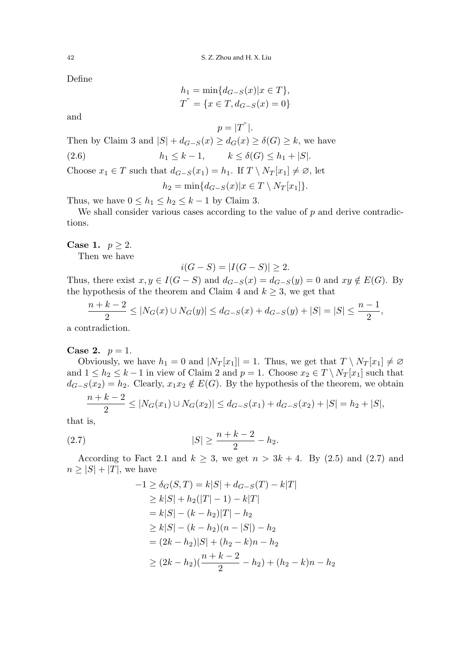Define

$$
h_1 = \min\{d_{G-S}(x)|x \in T\},\
$$
  

$$
T^" = \{x \in T, d_{G-S}(x) = 0\}
$$

 $p = |T^{n}|.$ 

and

Then by Claim 3 and  $|S| + d_{G-S}(x) \geq d_G(x) \geq \delta(G) \geq k$ , we have

(2.6)  $h_1 \leq k - 1, \qquad k \leq \delta(G) \leq h_1 + |S|.$ 

Choose  $x_1 \in T$  such that  $d_{G-S}(x_1) = h_1$ . If  $T \setminus N_T[x_1] \neq \emptyset$ , let

$$
h_2 = \min\{d_{G-S}(x)|x \in T \setminus N_T[x_1]\}.
$$

Thus, we have  $0 \leq h_1 \leq h_2 \leq k-1$  by Claim 3.

We shall consider various cases according to the value of  $p$  and derive contradictions.

Case 1.  $p \geq 2$ .

Then we have

$$
i(G - S) = |I(G - S)| \ge 2.
$$

Thus, there exist  $x, y \in I(G - S)$  and  $d_{G-S}(x) = d_{G-S}(y) = 0$  and  $xy \notin E(G)$ . By the hypothesis of the theorem and Claim 4 and  $k \geq 3$ , we get that

$$
\frac{n+k-2}{2} \le |N_G(x) \cup N_G(y)| \le d_{G-S}(x) + d_{G-S}(y) + |S| = |S| \le \frac{n-1}{2},
$$

a contradiction.

## **Case 2.**  $p = 1$ .

Obviously, we have  $h_1 = 0$  and  $|N_T[x_1]| = 1$ . Thus, we get that  $T \setminus N_T[x_1] \neq \emptyset$ and  $1 \leq h_2 \leq k-1$  in view of Claim 2 and  $p = 1$ . Choose  $x_2 \in T \setminus N_T[x_1]$  such that  $d_{G-S}(x_2) = h_2$ . Clearly,  $x_1x_2 \notin E(G)$ . By the hypothesis of the theorem, we obtain  $\cdot$  +  $\cdot$  2

$$
\frac{n+k-2}{2} \leq |N_G(x_1) \cup N_G(x_2)| \leq d_{G-S}(x_1) + d_{G-S}(x_2) + |S| = h_2 + |S|,
$$

that is,

(2.7) 
$$
|S| \ge \frac{n+k-2}{2} - h_2.
$$

According to Fact 2.1 and  $k \geq 3$ , we get  $n > 3k + 4$ . By (2.5) and (2.7) and  $n \geq |S| + |T|$ , we have

$$
-1 \ge \delta_G(S, T) = k|S| + d_{G-S}(T) - k|T|
$$
  
\n
$$
\ge k|S| + h_2(|T| - 1) - k|T|
$$
  
\n
$$
= k|S| - (k - h_2)|T| - h_2
$$
  
\n
$$
\ge k|S| - (k - h_2)(n - |S|) - h_2
$$
  
\n
$$
= (2k - h_2)|S| + (h_2 - k)n - h_2
$$
  
\n
$$
\ge (2k - h_2)(\frac{n + k - 2}{2} - h_2) + (h_2 - k)n - h_2
$$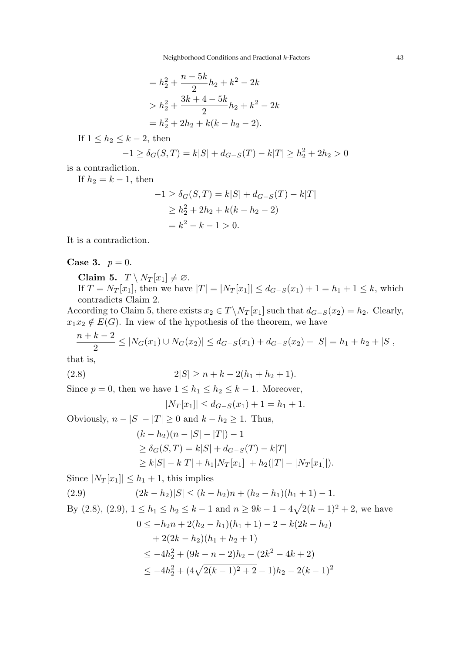Neighborhood Conditions and Fractional k-Factors 43

$$
= h_2^2 + \frac{n - 5k}{2}h_2 + k^2 - 2k
$$
  
>  $h_2^2 + \frac{3k + 4 - 5k}{2}h_2 + k^2 - 2k$   
=  $h_2^2 + 2h_2 + k(k - h_2 - 2)$ .

If  $1 \leq h_2 \leq k-2$ , then

$$
-1 \ge \delta_G(S, T) = k|S| + d_{G-S}(T) - k|T| \ge h_2^2 + 2h_2 > 0
$$

is a contradiction.

If  $h_2 = k - 1$ , then

$$
-1 \ge \delta_G(S, T) = k|S| + d_{G-S}(T) - k|T|
$$
  
\n
$$
\ge h_2^2 + 2h_2 + k(k - h_2 - 2)
$$
  
\n
$$
= k^2 - k - 1 > 0.
$$

It is a contradiction.

# **Case 3.**  $p = 0$ .

Claim 5.  $T \setminus N_T[x_1] \neq \emptyset$ .

If  $T = N_T[x_1]$ , then we have  $|T| = |N_T[x_1]| \leq d_{G-S}(x_1) + 1 = h_1 + 1 \leq k$ , which contradicts Claim 2.

According to Claim 5, there exists  $x_2 \in T \backslash N_T[x_1]$  such that  $d_{G-S}(x_2) = h_2$ . Clearly,  $x_1x_2 \notin E(G)$ . In view of the hypothesis of the theorem, we have

$$
\frac{n+k-2}{2} \le |N_G(x_1) \cup N_G(x_2)| \le d_{G-S}(x_1) + d_{G-S}(x_2) + |S| = h_1 + h_2 + |S|,
$$

that is,

$$
(2.8) \t\t 2|S| \ge n + k - 2(h_1 + h_2 + 1).
$$

Since  $p = 0$ , then we have  $1 \leq h_1 \leq h_2 \leq k - 1$ . Moreover,

$$
|N_T[x_1]| \leq d_{G-S}(x_1) + 1 = h_1 + 1.
$$

Obviously,  $n - |S| - |T| \ge 0$  and  $k - h_2 \ge 1$ . Thus,  $(k - h_2)(n - |S| - |T|) - 1$  $\geq \delta_G(S,T) = k|S| + d_{G-S}(T) - k|T|$  $\geq k|S| - k|T| + h_1|N_T[x_1]| + h_2(|T| - |N_T[x_1]|).$ 

Since  $|N_T[x_1]| \leq h_1 + 1$ , this implies

(2.9) 
$$
(2k - h_2)|S| \le (k - h_2)n + (h_2 - h_1)(h_1 + 1) - 1.
$$

By (2.8), (2.9), 
$$
1 \le h_1 \le h_2 \le k - 1
$$
 and  $n \ge 9k - 1 - 4\sqrt{2(k-1)^2 + 2}$ , we have  
\n
$$
0 \le -h_2n + 2(h_2 - h_1)(h_1 + 1) - 2 - k(2k - h_2)
$$
\n
$$
+ 2(2k - h_2)(h_1 + h_2 + 1)
$$
\n
$$
\le -4h_2^2 + (9k - n - 2)h_2 - (2k^2 - 4k + 2)
$$
\n
$$
\le -4h_2^2 + (4\sqrt{2(k-1)^2 + 2} - 1)h_2 - 2(k - 1)^2
$$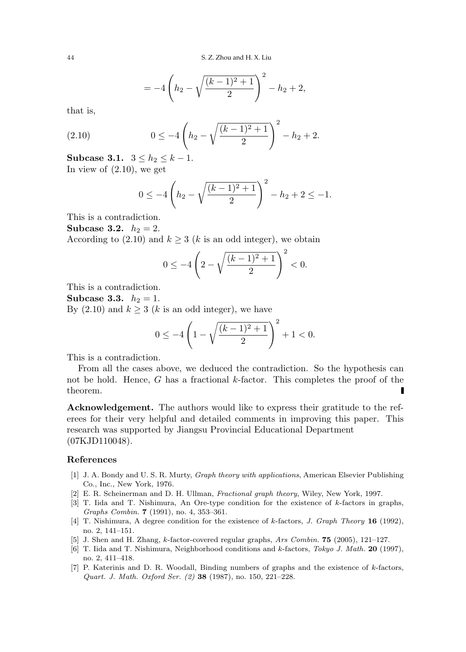$$
=-4\left(h_2-\sqrt{\frac{(k-1)^2+1}{2}}\right)^2-h_2+2,
$$

that is,

(2.10) 
$$
0 \le -4\left(h_2 - \sqrt{\frac{(k-1)^2+1}{2}}\right)^2 - h_2 + 2.
$$

Subcase 3.1.  $3 ≤ h_2 ≤ k - 1$ . In view of  $(2.10)$ , we get

$$
0 \le -4\left(h_2 - \sqrt{\frac{(k-1)^2 + 1}{2}}\right)^2 - h_2 + 2 \le -1.
$$

This is a contradiction.

**Subcase 3.2.**  $h_2 = 2$ .

According to (2.10) and  $k \geq 3$  (k is an odd integer), we obtain

$$
0 \le -4\left(2 - \sqrt{\frac{(k-1)^2 + 1}{2}}\right)^2 < 0.
$$

This is a contradiction.

**Subcase 3.3.**  $h_2 = 1$ . By (2.10) and  $k \geq 3$  (k is an odd integer), we have

$$
0 \le -4\left(1 - \sqrt{\frac{(k-1)^2 + 1}{2}}\right)^2 + 1 < 0.
$$

This is a contradiction.

From all the cases above, we deduced the contradiction. So the hypothesis can not be hold. Hence, G has a fractional  $k$ -factor. This completes the proof of the theorem.

Acknowledgement. The authors would like to express their gratitude to the referees for their very helpful and detailed comments in improving this paper. This research was supported by Jiangsu Provincial Educational Department (07KJD110048).

### References

- [1] J. A. Bondy and U. S. R. Murty, Graph theory with applications, American Elsevier Publishing Co., Inc., New York, 1976.
- [2] E. R. Scheinerman and D. H. Ullman, Fractional graph theory, Wiley, New York, 1997.
- [3] T. Iida and T. Nishimura, An Ore-type condition for the existence of k-factors in graphs, Graphs Combin. 7 (1991), no. 4, 353–361.
- [4] T. Nishimura, A degree condition for the existence of k-factors, J. Graph Theory 16 (1992), no. 2, 141–151.
- [5] J. Shen and H. Zhang, k-factor-covered regular graphs, Ars Combin. 75 (2005), 121–127.
- [6] T. Iida and T. Nishimura, Neighborhood conditions and k-factors, Tokyo J. Math. 20 (1997), no. 2, 411–418.
- [7] P. Katerinis and D. R. Woodall, Binding numbers of graphs and the existence of k-factors, Quart. J. Math. Oxford Ser. (2) 38 (1987), no. 150, 221–228.